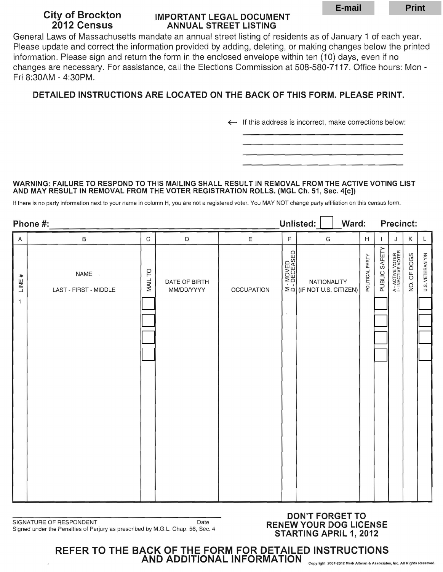# **City of Brockton IMPORTANT LEGAL DOCUMENT<br>2012 Census ANNUAL STREET LISTING ANNUAL STREET LISTING**

# **DETAILED INSTRUCTIONS ARE LOCATED ON THE BACK OF THIS FORM. PLEASE PRINT.**

### **WARNING: FAILURE TO RESPOND TO THIS MAILING SHALL RESULT IN REMOVAL FROM THE ACTIVE VOTING LIST AND MAY RESULT IN REMOVAL FROM THE VOTER REGISTRATION ROLLS. (MGL** Ch. 51, Sec. **4[c])**

|                                                                                                                                                                                                                                                                                                                                                                                                                                                                                                                                                                                      |                                                                                                                                                                                                                                                                                                                                                                                                            |         |                             |                   |                       |                                                      | E-mail |                      |               |                                        | <b>Print</b>                            |                             |  |
|--------------------------------------------------------------------------------------------------------------------------------------------------------------------------------------------------------------------------------------------------------------------------------------------------------------------------------------------------------------------------------------------------------------------------------------------------------------------------------------------------------------------------------------------------------------------------------------|------------------------------------------------------------------------------------------------------------------------------------------------------------------------------------------------------------------------------------------------------------------------------------------------------------------------------------------------------------------------------------------------------------|---------|-----------------------------|-------------------|-----------------------|------------------------------------------------------|--------|----------------------|---------------|----------------------------------------|-----------------------------------------|-----------------------------|--|
| <b>City of Brockton</b><br><b>IMPORTANT LEGAL DOCUMENT</b><br>2012 Census<br><b>ANNUAL STREET LISTING</b><br>General Laws of Massachusetts mandate an annual street listing of residents as of January 1 of each year.<br>Please update and correct the information provided by adding, deleting, or making changes below the printed<br>information. Please sign and return the form in the enclosed envelope within ten (10) days, even if no<br>changes are necessary. For assistance, call the Elections Commission at 508-580-7117. Office hours: Mon -<br>Fri 8:30AM - 4:30PM. |                                                                                                                                                                                                                                                                                                                                                                                                            |         |                             |                   |                       |                                                      |        |                      |               |                                        |                                         |                             |  |
|                                                                                                                                                                                                                                                                                                                                                                                                                                                                                                                                                                                      | DETAILED INSTRUCTIONS ARE LOCATED ON THE BACK OF THIS FORM. PLEASE PRINT.                                                                                                                                                                                                                                                                                                                                  |         |                             |                   |                       |                                                      |        |                      |               |                                        |                                         |                             |  |
|                                                                                                                                                                                                                                                                                                                                                                                                                                                                                                                                                                                      |                                                                                                                                                                                                                                                                                                                                                                                                            |         |                             |                   |                       |                                                      |        |                      |               |                                        |                                         |                             |  |
|                                                                                                                                                                                                                                                                                                                                                                                                                                                                                                                                                                                      | $\leftarrow$ If this address is incorrect, make corrections below:                                                                                                                                                                                                                                                                                                                                         |         |                             |                   |                       |                                                      |        |                      |               |                                        |                                         |                             |  |
|                                                                                                                                                                                                                                                                                                                                                                                                                                                                                                                                                                                      |                                                                                                                                                                                                                                                                                                                                                                                                            |         |                             |                   |                       |                                                      |        |                      |               |                                        |                                         |                             |  |
|                                                                                                                                                                                                                                                                                                                                                                                                                                                                                                                                                                                      |                                                                                                                                                                                                                                                                                                                                                                                                            |         |                             |                   |                       |                                                      |        |                      |               |                                        |                                         |                             |  |
|                                                                                                                                                                                                                                                                                                                                                                                                                                                                                                                                                                                      | WARNING: FAILURE TO RESPOND TO THIS MAILING SHALL RESULT IN REMOVAL FROM THE ACTIVE VOTING LIST<br>AND MAY RESULT IN REMOVAL FROM THE VOTER REGISTRATION ROLLS. (MGL Ch. 51, Sec. 4[c])<br>If there is no party information next to your name in column H, you are not a registered voter. You MAY NOT change party affiliation on this census form.<br>Unlisted:<br>Ward:<br><b>Precinct:</b><br>Phone #: |         |                             |                   |                       |                                                      |        |                      |               |                                        |                                         |                             |  |
| Α                                                                                                                                                                                                                                                                                                                                                                                                                                                                                                                                                                                    | B                                                                                                                                                                                                                                                                                                                                                                                                          | C       | D                           | E                 | F                     | G                                                    |        | H                    |               | J                                      | Κ                                       |                             |  |
| #<br>LINE,<br>$\mathbf{1}$                                                                                                                                                                                                                                                                                                                                                                                                                                                                                                                                                           | NAME .<br>LAST - FIRST - MIDDLE                                                                                                                                                                                                                                                                                                                                                                            | MAIL TO | DATE OF BIRTH<br>MM/DD/YYYY | <b>OCCUPATION</b> | 늡<br>MOVED<br>DECEASE | NATIONALITY<br>$\geq$ $\Omega$ (IF NOT U.S. CITIZEN) |        | <b>YTRAQ JAQITIO</b> | PUBLIC SAFETY | A - ACTIVE VOTER<br>I - INACTIVE VOTER | <b>DOGS</b><br>$\overline{0}$<br>g<br>2 | <b>VETERANY/N</b><br>ဟ<br>⊃ |  |
|                                                                                                                                                                                                                                                                                                                                                                                                                                                                                                                                                                                      | <b>DON'T FORGET TO</b><br>SIGNATURE OF RESPONDENT<br>Date<br><b>RENEW YOUR DOG LICENSE</b><br>Signed under the Penalties of Perjury as prescribed by M.G.L. Chap. 56, Sec. 4<br><b>STARTING APRIL 1, 2012</b>                                                                                                                                                                                              |         |                             |                   |                       |                                                      |        |                      |               |                                        |                                         |                             |  |
|                                                                                                                                                                                                                                                                                                                                                                                                                                                                                                                                                                                      | REFER TO THE BACK OF THE FORM FOR DETAILED INSTRUCTIONS<br>AND ADDITIONAL INFORMATION<br>Copyright 2007-2012 Mark Altman & Associates, Inc. All Rights Reserved                                                                                                                                                                                                                                            |         |                             |                   |                       |                                                      |        |                      |               |                                        |                                         |                             |  |

# **DON'T FORGET TO**